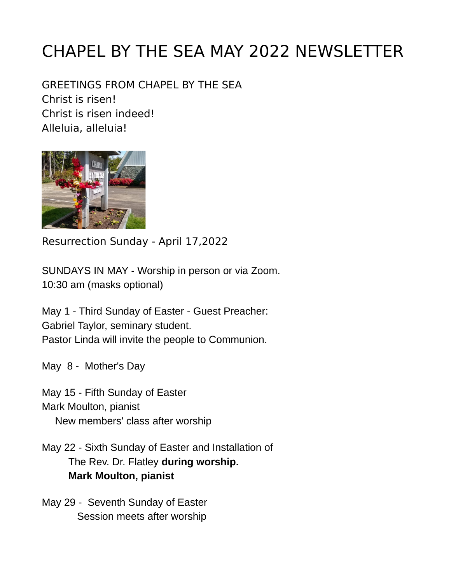# CHAPEL BY THE SEA MAY 2022 NEWSLETTER

GREETINGS FROM CHAPEL BY THE SEA Christ is risen! Christ is risen indeed! Alleluia, alleluia!



Resurrection Sunday - April 17,2022

SUNDAYS IN MAY - Worship in person or via Zoom. 10:30 am (masks optional)

May 1 - Third Sunday of Easter - Guest Preacher: Gabriel Taylor, seminary student. Pastor Linda will invite the people to Communion.

May 8 - Mother's Day

May 15 - Fifth Sunday of Easter Mark Moulton, pianist New members' class after worship

May 22 - Sixth Sunday of Easter and Installation of The Rev. Dr. Flatley **during worship. Mark Moulton, pianist** 

May 29 - Seventh Sunday of Easter Session meets after worship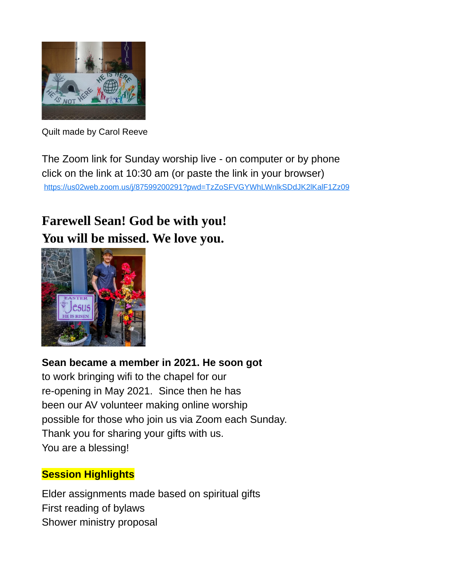

Quilt made by Carol Reeve

The Zoom link for Sunday worship live - on computer or by phone click on the link at 10:30 am (or paste the link in your browser) <https://us02web.zoom.us/j/87599200291?pwd=TzZoSFVGYWhLWnlkSDdJK2lKalF1Zz09>

## **Farewell Sean! God be with you! You will be missed. We love you.**



#### **Sean became a member in 2021. He soon got**

to work bringing wifi to the chapel for our re-opening in May 2021. Since then he has been our AV volunteer making online worship possible for those who join us via Zoom each Sunday. Thank you for sharing your gifts with us. You are a blessing!

#### **Session Highlights**

Elder assignments made based on spiritual gifts First reading of bylaws Shower ministry proposal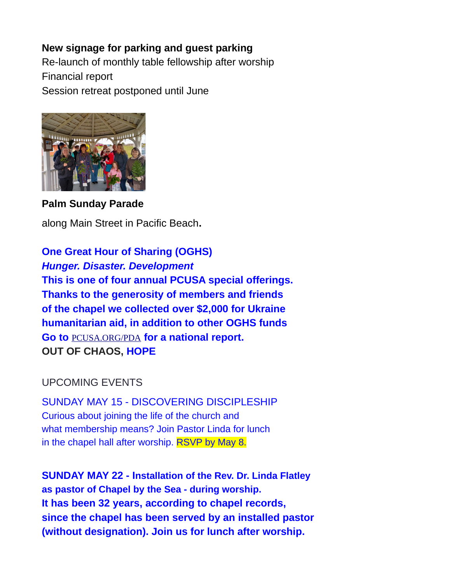#### **New signage for parking and guest parking**

Re-launch of monthly table fellowship after worship Financial report Session retreat postponed until June



**Palm Sunday Parade**

along Main Street in Pacific Beach**.**

**One Great Hour of Sharing (OGHS)** *Hunger. Disaster. Development* **This is one of four annual PCUSA special offerings. Thanks to the generosity of members and friends of the chapel we collected over \$2,000 for Ukraine humanitarian aid, in addition to other OGHS funds Go to** [PCUSA.ORG/PDA](http://PCUSA.ORG/PDA) **for a national report. OUT OF CHAOS, HOPE**

#### UPCOMING EVENTS

SUNDAY MAY 15 - DISCOVERING DISCIPLESHIP Curious about joining the life of the church and what membership means? Join Pastor Linda for lunch in the chapel hall after worship. RSVP by May 8.

**SUNDAY MAY 22 - Installation of the Rev. Dr. Linda Flatley as pastor of Chapel by the Sea - during worship. It has been 32 years, according to chapel records, since the chapel has been served by an installed pastor (without designation). Join us for lunch after worship.**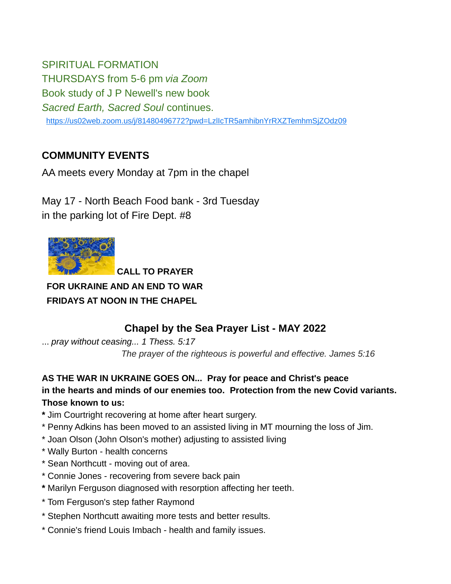SPIRITUAL FORMATION THURSDAYS from 5-6 pm *via Zoom* Book study of J P Newell's new book *Sacred Earth, Sacred Soul* continues. <https://us02web.zoom.us/j/81480496772?pwd=LzlIcTR5amhibnYrRXZTemhmSjZOdz09>

#### **COMMUNITY EVENTS**

AA meets every Monday at 7pm in the chapel

May 17 - North Beach Food bank - 3rd Tuesday in the parking lot of Fire Dept. #8



 **CALL TO PRAYER FOR UKRAINE AND AN END TO WAR FRIDAYS AT NOON IN THE CHAPEL**

### **Chapel by the Sea Prayer List - MAY 2022**

... *pray without ceasing... 1 Thess. 5:17 The prayer of the righteous is powerful and effective. James 5:16*

**AS THE WAR IN UKRAINE GOES ON... Pray for peace and Christ's peace in the hearts and minds of our enemies too. Protection from the new Covid variants. Those known to us:**

- **\*** Jim Courtright recovering at home after heart surgery.
- \* Penny Adkins has been moved to an assisted living in MT mourning the loss of Jim.
- \* Joan Olson (John Olson's mother) adjusting to assisted living
- \* Wally Burton health concerns
- \* Sean Northcutt moving out of area.
- \* Connie Jones recovering from severe back pain
- **\*** Marilyn Ferguson diagnosed with resorption affecting her teeth.
- \* Tom Ferguson's step father Raymond
- \* Stephen Northcutt awaiting more tests and better results.
- \* Connie's friend Louis Imbach health and family issues.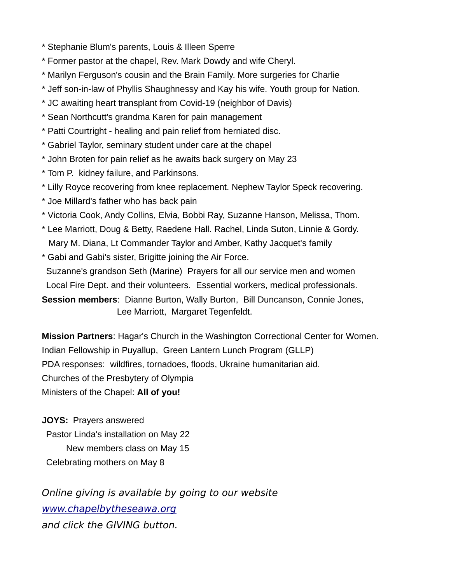- \* Stephanie Blum's parents, Louis & Illeen Sperre
- \* Former pastor at the chapel, Rev. Mark Dowdy and wife Cheryl.
- \* Marilyn Ferguson's cousin and the Brain Family. More surgeries for Charlie
- \* Jeff son-in-law of Phyllis Shaughnessy and Kay his wife. Youth group for Nation.
- \* JC awaiting heart transplant from Covid-19 (neighbor of Davis)
- \* Sean Northcutt's grandma Karen for pain management
- \* Patti Courtright healing and pain relief from herniated disc.
- \* Gabriel Taylor, seminary student under care at the chapel
- \* John Broten for pain relief as he awaits back surgery on May 23
- \* Tom P. kidney failure, and Parkinsons.
- \* Lilly Royce recovering from knee replacement. Nephew Taylor Speck recovering.
- \* Joe Millard's father who has back pain
- \* Victoria Cook, Andy Collins, Elvia, Bobbi Ray, Suzanne Hanson, Melissa, Thom.
- \* Lee Marriott, Doug & Betty, Raedene Hall. Rachel, Linda Suton, Linnie & Gordy. Mary M. Diana, Lt Commander Taylor and Amber, Kathy Jacquet's family
- \* Gabi and Gabi's sister, Brigitte joining the Air Force. Suzanne's grandson Seth (Marine) Prayers for all our service men and women Local Fire Dept. and their volunteers. Essential workers, medical professionals. **Session members**: Dianne Burton, Wally Burton, Bill Duncanson, Connie Jones, Lee Marriott, Margaret Tegenfeldt.

**Mission Partners**: Hagar's Church in the Washington Correctional Center for Women. Indian Fellowship in Puyallup, Green Lantern Lunch Program (GLLP) PDA responses: wildfires, tornadoes, floods, Ukraine humanitarian aid. Churches of the Presbytery of Olympia Ministers of the Chapel: **All of you!**

**JOYS:** Prayers answered Pastor Linda's installation on May 22 New members class on May 15 Celebrating mothers on May 8

Online giving is available by going to our website [www.chapelbytheseawa.org](http://www.chapelbytheseawa.org/) and click the GIVING button.